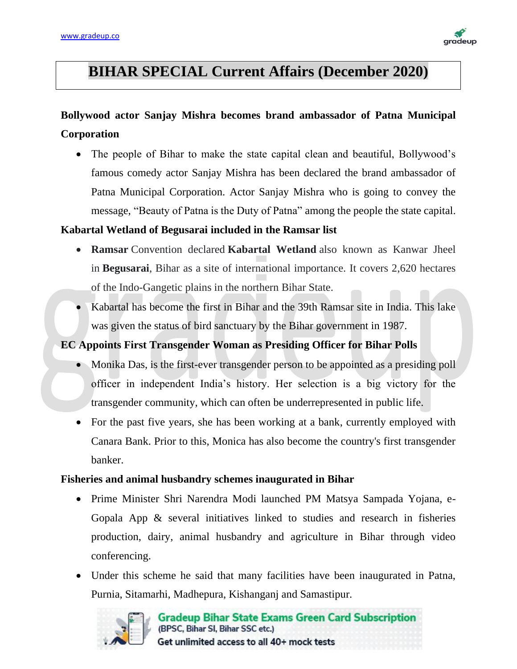

# **BIHAR SPECIAL Current Affairs (December 2020)**

## **Bollywood actor Sanjay Mishra becomes brand ambassador of Patna Municipal Corporation**

• The people of Bihar to make the state capital clean and beautiful, Bollywood's famous comedy actor Sanjay Mishra has been declared the brand ambassador of Patna Municipal Corporation. Actor Sanjay Mishra who is going to convey the message, "Beauty of Patna is the Duty of Patna" among the people the state capital.

#### **Kabartal Wetland of Begusarai included in the Ramsar list**

- **Ramsar** Convention declared **Kabartal Wetland** also known as Kanwar Jheel in **Begusarai**, Bihar as a site of international importance. It covers 2,620 hectares of the Indo-Gangetic plains in the northern Bihar State.
- Kabartal has become the first in Bihar and the 39th Ramsar site in India. This lake was given the status of bird sanctuary by the Bihar government in 1987.

#### **EC Appoints First Transgender Woman as Presiding Officer for Bihar Polls**

- Monika Das, is the first-ever transgender person to be appointed as a presiding poll officer in independent India's history. Her selection is a big victory for the transgender community, which can often be underrepresented in public life.
- For the past five years, she has been working at a bank, currently employed with Canara Bank. Prior to this, Monica has also become the country's first transgender banker.

#### **Fisheries and animal husbandry schemes inaugurated in Bihar**

- Prime Minister Shri Narendra Modi launched PM Matsya Sampada Yojana, e-Gopala App & several initiatives linked to studies and research in fisheries production, dairy, animal husbandry and agriculture in Bihar through video conferencing.
- Under this scheme he said that many facilities have been inaugurated in Patna, Purnia, Sitamarhi, Madhepura, Kishanganj and Samastipur.

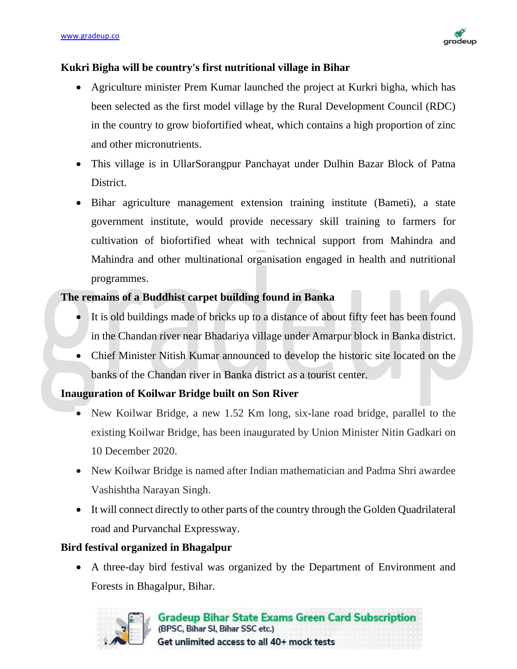

#### **Kukri Bigha will be country's first nutritional village in Bihar**

- Agriculture minister Prem Kumar launched the project at Kurkri bigha, which has been selected as the first model village by the Rural Development Council (RDC) in the country to grow biofortified wheat, which contains a high proportion of zinc and other micronutrients.
- This village is in UllarSorangpur Panchayat under Dulhin Bazar Block of Patna District.
- Bihar agriculture management extension training institute (Bameti), a state government institute, would provide necessary skill training to farmers for cultivation of biofortified wheat with technical support from Mahindra and Mahindra and other multinational organisation engaged in health and nutritional programmes.

#### **The remains of a Buddhist carpet building found in Banka**

- It is old buildings made of bricks up to a distance of about fifty feet has been found in the Chandan river near Bhadariya village under Amarpur block in Banka district.
- Chief Minister Nitish Kumar announced to develop the historic site located on the banks of the Chandan river in Banka district as a tourist center.

#### **Inauguration of Koilwar Bridge built on Son River**

- New Koilwar Bridge, a new 1.52 Km long, six-lane road bridge, parallel to the existing Koilwar Bridge, has been inaugurated by Union Minister Nitin Gadkari on 10 December 2020.
- New Koilwar Bridge is named after Indian mathematician and Padma Shri awardee Vashishtha Narayan Singh.
- It will connect directly to other parts of the country through the Golden Quadrilateral road and Purvanchal Expressway.

#### **Bird festival organized in Bhagalpur**

• A three-day bird festival was organized by the Department of Environment and Forests in Bhagalpur, Bihar.

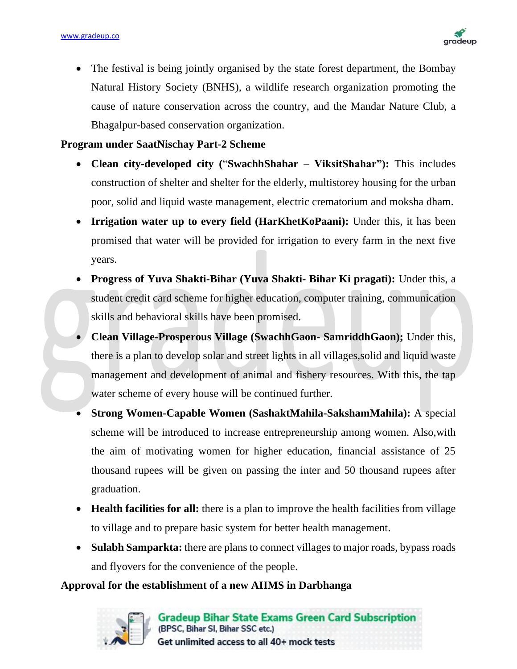

• The festival is being jointly organised by the state forest department, the Bombay Natural History Society (BNHS), a wildlife research organization promoting the cause of nature conservation across the country, and the Mandar Nature Club, a Bhagalpur-based conservation organization.

**Program under SaatNischay Part-2 Scheme**

- **Clean city-developed city (**"**SwachhShahar – ViksitShahar"):** This includes construction of shelter and shelter for the elderly, multistorey housing for the urban poor, solid and liquid waste management, electric crematorium and moksha dham.
- **Irrigation water up to every field (HarKhetKoPaani):** Under this, it has been promised that water will be provided for irrigation to every farm in the next five years.
- **Progress of Yuva Shakti-Bihar (Yuva Shakti- Bihar Ki pragati):** Under this, a student credit card scheme for higher education, computer training, communication skills and behavioral skills have been promised.
- **Clean Village-Prosperous Village (SwachhGaon- SamriddhGaon);** Under this, there is a plan to develop solar and street lights in all villages,solid and liquid waste management and development of animal and fishery resources. With this, the tap water scheme of every house will be continued further.
- **Strong Women-Capable Women (SashaktMahila-SakshamMahila):** A special scheme will be introduced to increase entrepreneurship among women. Also,with the aim of motivating women for higher education, financial assistance of 25 thousand rupees will be given on passing the inter and 50 thousand rupees after graduation.
- **Health facilities for all:** there is a plan to improve the health facilities from village to village and to prepare basic system for better health management.
- **Sulabh Samparkta:** there are plans to connect villages to major roads, bypass roads and flyovers for the convenience of the people.

#### **Approval for the establishment of a new AIIMS in Darbhanga**

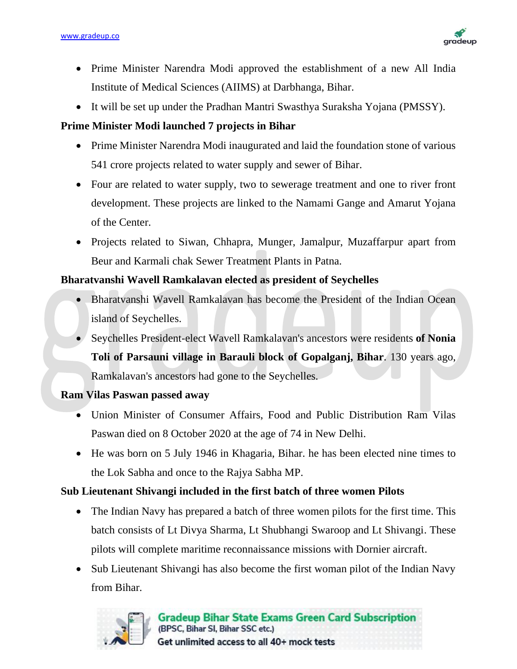

- Prime Minister Narendra Modi approved the establishment of a new All India Institute of Medical Sciences (AIIMS) at Darbhanga, Bihar.
- It will be set up under the Pradhan Mantri Swasthya Suraksha Yojana (PMSSY).

#### **Prime Minister Modi launched 7 projects in Bihar**

- Prime Minister Narendra Modi inaugurated and laid the foundation stone of various 541 crore projects related to water supply and sewer of Bihar.
- Four are related to water supply, two to sewerage treatment and one to river front development. These projects are linked to the Namami Gange and Amarut Yojana of the Center.
- Projects related to Siwan, Chhapra, Munger, Jamalpur, Muzaffarpur apart from Beur and Karmali chak Sewer Treatment Plants in Patna.

#### **Bharatvanshi Wavell Ramkalavan elected as president of Seychelles**

- Bharatvanshi Wavell Ramkalavan has become the President of the Indian Ocean island of Seychelles.
- Seychelles President-elect Wavell Ramkalavan's ancestors were residents **of Nonia Toli of Parsauni village in Barauli block of Gopalganj, Bihar**. 130 years ago, Ramkalavan's ancestors had gone to the Seychelles.

#### **Ram Vilas Paswan passed away**

- Union Minister of Consumer Affairs, Food and Public Distribution Ram Vilas Paswan died on 8 October 2020 at the age of 74 in New Delhi.
- He was born on 5 July 1946 in Khagaria, Bihar. he has been elected nine times to the Lok Sabha and once to the Rajya Sabha MP.

### **Sub Lieutenant Shivangi included in the first batch of three women Pilots**

- The Indian Navy has prepared a batch of three women pilots for the first time. This batch consists of Lt Divya Sharma, Lt Shubhangi Swaroop and Lt Shivangi. These pilots will complete maritime reconnaissance missions with Dornier aircraft.
- Sub Lieutenant Shivangi has also become the first woman pilot of the Indian Navy from Bihar.